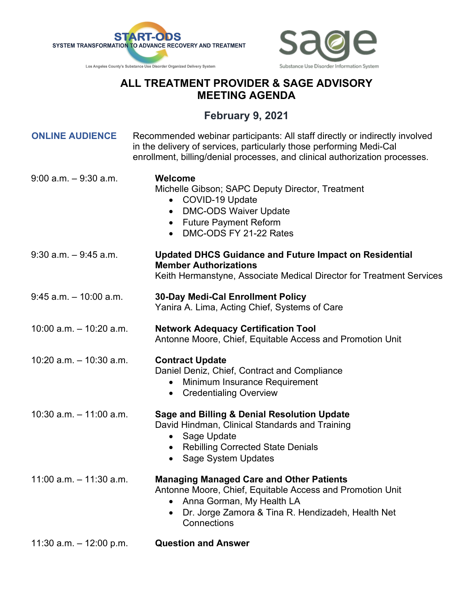



## **ALL TREATMENT PROVIDER & SAGE ADVISORY MEETING AGENDA**

## **February 9, 2021**

| <b>ONLINE AUDIENCE</b>     | Recommended webinar participants: All staff directly or indirectly involved<br>in the delivery of services, particularly those performing Medi-Cal<br>enrollment, billing/denial processes, and clinical authorization processes. |
|----------------------------|-----------------------------------------------------------------------------------------------------------------------------------------------------------------------------------------------------------------------------------|
| $9:00$ a.m. $-9:30$ a.m.   | <b>Welcome</b><br>Michelle Gibson; SAPC Deputy Director, Treatment<br>• COVID-19 Update<br><b>DMC-ODS Waiver Update</b><br>$\bullet$<br>• Future Payment Reform<br>DMC-ODS FY 21-22 Rates<br>$\bullet$                            |
| $9:30$ a.m. $-9:45$ a.m.   | <b>Updated DHCS Guidance and Future Impact on Residential</b><br><b>Member Authorizations</b><br>Keith Hermanstyne, Associate Medical Director for Treatment Services                                                             |
| $9:45$ a.m. $-10:00$ a.m.  | <b>30-Day Medi-Cal Enrollment Policy</b><br>Yanira A. Lima, Acting Chief, Systems of Care                                                                                                                                         |
| $10:00$ a.m. $-10:20$ a.m. | <b>Network Adequacy Certification Tool</b><br>Antonne Moore, Chief, Equitable Access and Promotion Unit                                                                                                                           |
| $10:20$ a.m. $-10:30$ a.m. | <b>Contract Update</b><br>Daniel Deniz, Chief, Contract and Compliance<br>Minimum Insurance Requirement<br>$\bullet$<br><b>Credentialing Overview</b><br>$\bullet$                                                                |
| $10:30$ a.m. $-11:00$ a.m. | <b>Sage and Billing &amp; Denial Resolution Update</b><br>David Hindman, Clinical Standards and Training<br>Sage Update<br>$\bullet$<br>• Rebilling Corrected State Denials<br><b>Sage System Updates</b>                         |
| 11:00 a.m. $-$ 11:30 a.m.  | <b>Managing Managed Care and Other Patients</b><br>Antonne Moore, Chief, Equitable Access and Promotion Unit<br>Anna Gorman, My Health LA<br>Dr. Jorge Zamora & Tina R. Hendizadeh, Health Net<br>$\bullet$<br>Connections        |
| 11:30 a.m. $-$ 12:00 p.m.  | <b>Question and Answer</b>                                                                                                                                                                                                        |